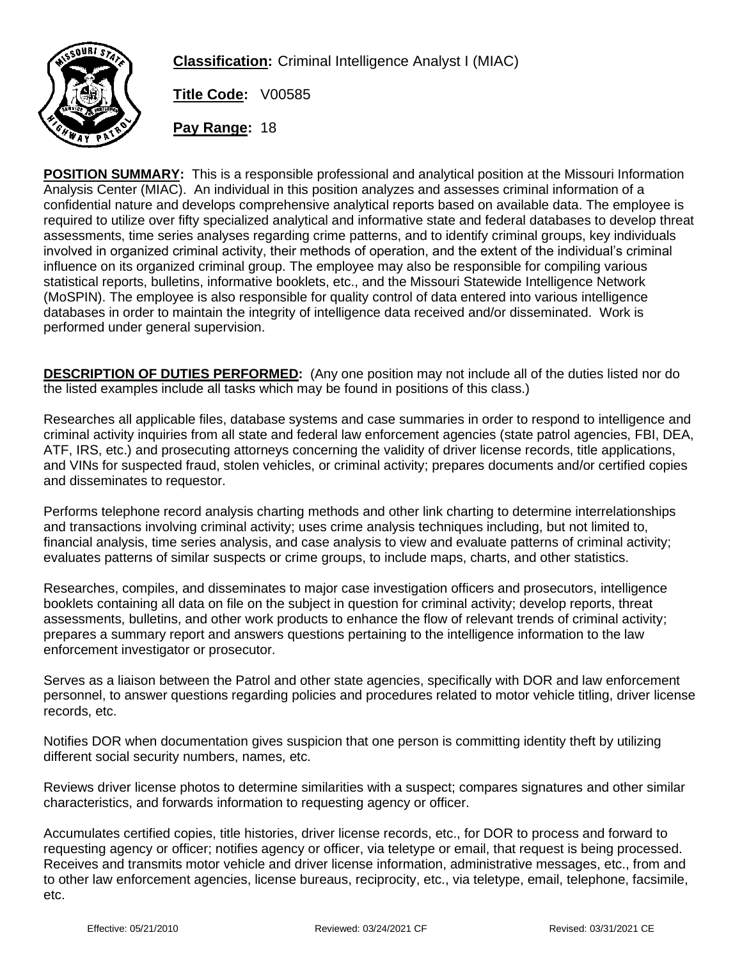

**Classification:** Criminal Intelligence Analyst I (MIAC)

**Title Code:** V00585

**Pay Range:** 18

**POSITION SUMMARY:** This is a responsible professional and analytical position at the Missouri Information Analysis Center (MIAC). An individual in this position analyzes and assesses criminal information of a confidential nature and develops comprehensive analytical reports based on available data. The employee is required to utilize over fifty specialized analytical and informative state and federal databases to develop threat assessments, time series analyses regarding crime patterns, and to identify criminal groups, key individuals involved in organized criminal activity, their methods of operation, and the extent of the individual's criminal influence on its organized criminal group. The employee may also be responsible for compiling various statistical reports, bulletins, informative booklets, etc., and the Missouri Statewide Intelligence Network (MoSPIN). The employee is also responsible for quality control of data entered into various intelligence databases in order to maintain the integrity of intelligence data received and/or disseminated. Work is performed under general supervision.

**DESCRIPTION OF DUTIES PERFORMED:** (Any one position may not include all of the duties listed nor do the listed examples include all tasks which may be found in positions of this class.)

Researches all applicable files, database systems and case summaries in order to respond to intelligence and criminal activity inquiries from all state and federal law enforcement agencies (state patrol agencies, FBI, DEA, ATF, IRS, etc.) and prosecuting attorneys concerning the validity of driver license records, title applications, and VINs for suspected fraud, stolen vehicles, or criminal activity; prepares documents and/or certified copies and disseminates to requestor.

Performs telephone record analysis charting methods and other link charting to determine interrelationships and transactions involving criminal activity; uses crime analysis techniques including, but not limited to, financial analysis, time series analysis, and case analysis to view and evaluate patterns of criminal activity; evaluates patterns of similar suspects or crime groups, to include maps, charts, and other statistics.

Researches, compiles, and disseminates to major case investigation officers and prosecutors, intelligence booklets containing all data on file on the subject in question for criminal activity; develop reports, threat assessments, bulletins, and other work products to enhance the flow of relevant trends of criminal activity; prepares a summary report and answers questions pertaining to the intelligence information to the law enforcement investigator or prosecutor.

Serves as a liaison between the Patrol and other state agencies, specifically with DOR and law enforcement personnel, to answer questions regarding policies and procedures related to motor vehicle titling, driver license records, etc.

Notifies DOR when documentation gives suspicion that one person is committing identity theft by utilizing different social security numbers, names, etc.

Reviews driver license photos to determine similarities with a suspect; compares signatures and other similar characteristics, and forwards information to requesting agency or officer.

Accumulates certified copies, title histories, driver license records, etc., for DOR to process and forward to requesting agency or officer; notifies agency or officer, via teletype or email, that request is being processed. Receives and transmits motor vehicle and driver license information, administrative messages, etc., from and to other law enforcement agencies, license bureaus, reciprocity, etc., via teletype, email, telephone, facsimile, etc.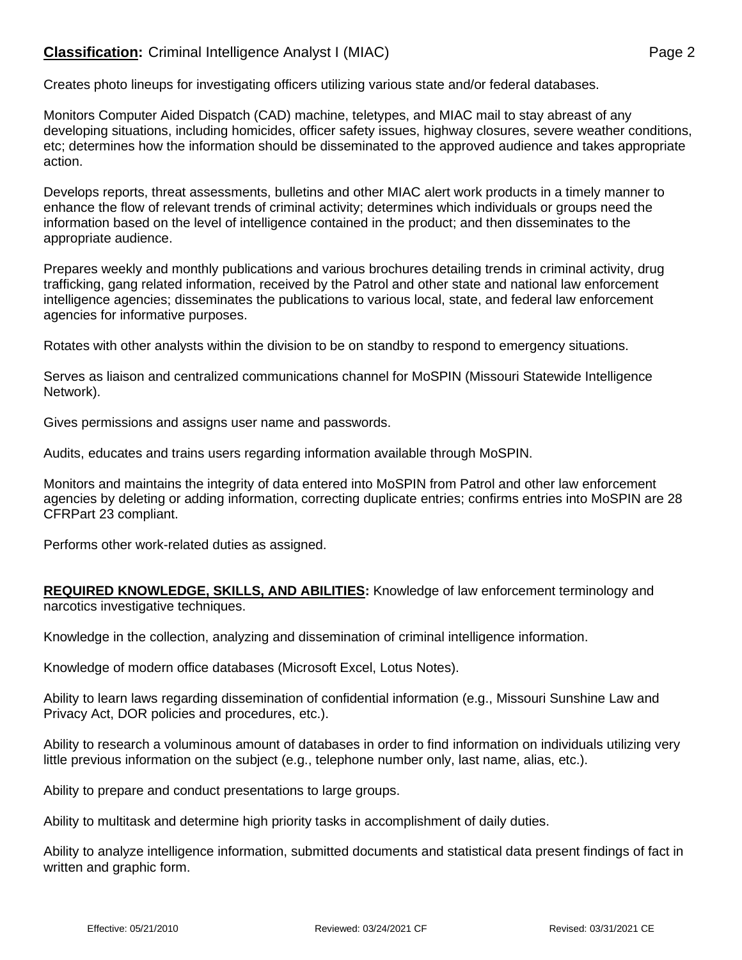## **Classification:** Criminal Intelligence Analyst I (MIAC) **Page 2** Page 2

Creates photo lineups for investigating officers utilizing various state and/or federal databases.

Monitors Computer Aided Dispatch (CAD) machine, teletypes, and MIAC mail to stay abreast of any developing situations, including homicides, officer safety issues, highway closures, severe weather conditions, etc; determines how the information should be disseminated to the approved audience and takes appropriate action.

Develops reports, threat assessments, bulletins and other MIAC alert work products in a timely manner to enhance the flow of relevant trends of criminal activity; determines which individuals or groups need the information based on the level of intelligence contained in the product; and then disseminates to the appropriate audience.

Prepares weekly and monthly publications and various brochures detailing trends in criminal activity, drug trafficking, gang related information, received by the Patrol and other state and national law enforcement intelligence agencies; disseminates the publications to various local, state, and federal law enforcement agencies for informative purposes.

Rotates with other analysts within the division to be on standby to respond to emergency situations.

Serves as liaison and centralized communications channel for MoSPIN (Missouri Statewide Intelligence Network).

Gives permissions and assigns user name and passwords.

Audits, educates and trains users regarding information available through MoSPIN.

Monitors and maintains the integrity of data entered into MoSPIN from Patrol and other law enforcement agencies by deleting or adding information, correcting duplicate entries; confirms entries into MoSPIN are 28 CFRPart 23 compliant.

Performs other work-related duties as assigned.

**REQUIRED KNOWLEDGE, SKILLS, AND ABILITIES:** Knowledge of law enforcement terminology and narcotics investigative techniques.

Knowledge in the collection, analyzing and dissemination of criminal intelligence information.

Knowledge of modern office databases (Microsoft Excel, Lotus Notes).

Ability to learn laws regarding dissemination of confidential information (e.g., Missouri Sunshine Law and Privacy Act, DOR policies and procedures, etc.).

Ability to research a voluminous amount of databases in order to find information on individuals utilizing very little previous information on the subject (e.g., telephone number only, last name, alias, etc.).

Ability to prepare and conduct presentations to large groups.

Ability to multitask and determine high priority tasks in accomplishment of daily duties.

Ability to analyze intelligence information, submitted documents and statistical data present findings of fact in written and graphic form.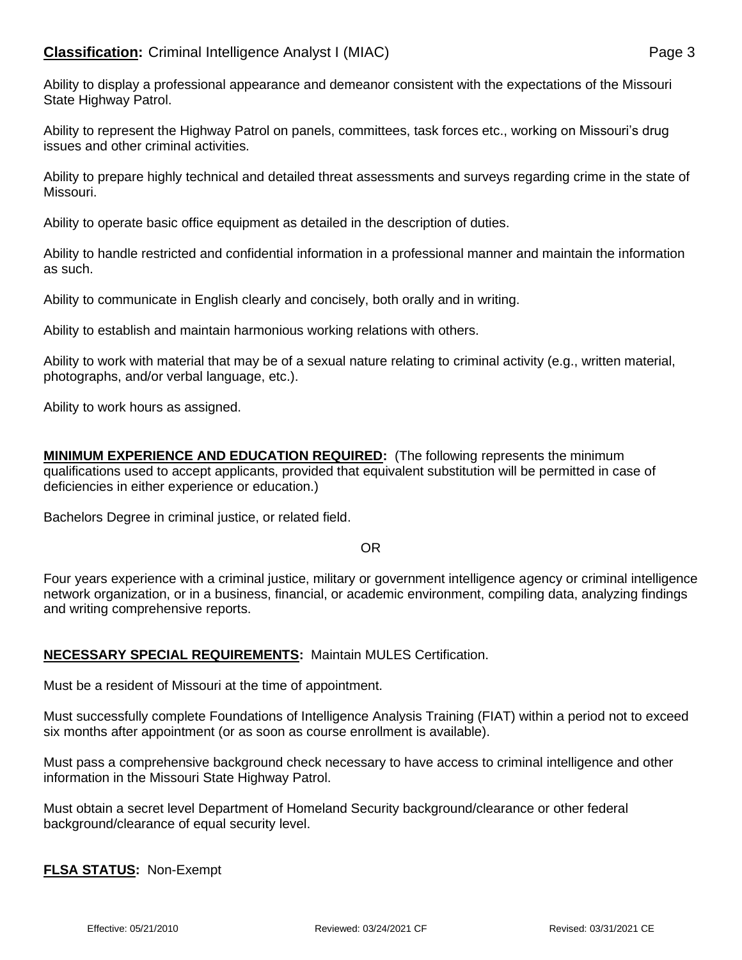Ability to display a professional appearance and demeanor consistent with the expectations of the Missouri State Highway Patrol.

Ability to represent the Highway Patrol on panels, committees, task forces etc., working on Missouri's drug issues and other criminal activities.

Ability to prepare highly technical and detailed threat assessments and surveys regarding crime in the state of Missouri.

Ability to operate basic office equipment as detailed in the description of duties.

Ability to handle restricted and confidential information in a professional manner and maintain the information as such.

Ability to communicate in English clearly and concisely, both orally and in writing.

Ability to establish and maintain harmonious working relations with others.

Ability to work with material that may be of a sexual nature relating to criminal activity (e.g., written material, photographs, and/or verbal language, etc.).

Ability to work hours as assigned.

**MINIMUM EXPERIENCE AND EDUCATION REQUIRED:** (The following represents the minimum qualifications used to accept applicants, provided that equivalent substitution will be permitted in case of deficiencies in either experience or education.)

Bachelors Degree in criminal justice, or related field.

## OR

Four years experience with a criminal justice, military or government intelligence agency or criminal intelligence network organization, or in a business, financial, or academic environment, compiling data, analyzing findings and writing comprehensive reports.

## **NECESSARY SPECIAL REQUIREMENTS:** Maintain MULES Certification.

Must be a resident of Missouri at the time of appointment.

Must successfully complete Foundations of Intelligence Analysis Training (FIAT) within a period not to exceed six months after appointment (or as soon as course enrollment is available).

Must pass a comprehensive background check necessary to have access to criminal intelligence and other information in the Missouri State Highway Patrol.

Must obtain a secret level Department of Homeland Security background/clearance or other federal background/clearance of equal security level.

## **FLSA STATUS:** Non-Exempt